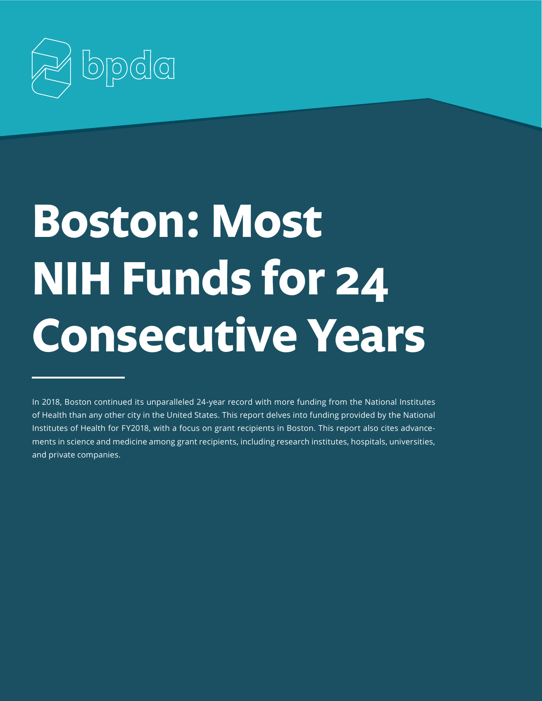

# **Boston: Most NIH Funds for 24 Consecutive Years**

In 2018, Boston continued its unparalleled 24-year record with more funding from the National Institutes of Health than any other city in the United States. This report delves into funding provided by the National Institutes of Health for FY2018, with a focus on grant recipients in Boston. This report also cites advancements in science and medicine among grant recipients, including research institutes, hospitals, universities, and private companies.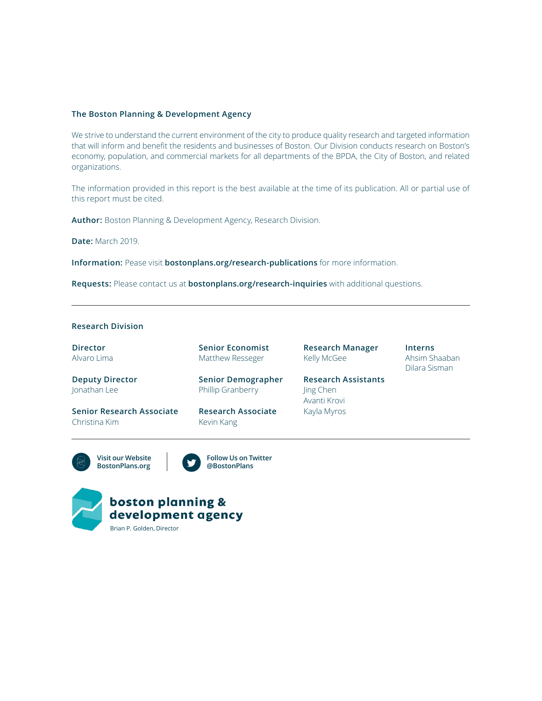#### **The Boston Planning & Development Agency**

We strive to understand the current environment of the city to produce quality research and targeted information that will inform and benefit the residents and businesses of Boston. Our Division conducts research on Boston's economy, population, and commercial markets for all departments of the BPDA, the City of Boston, and related organizations.

The information provided in this report is the best available at the time of its publication. All or partial use of this report must be cited.

**Author:** Boston Planning & Development Agency, Research Division.

**Date:** March 2019.

**Information:** Pease visit **bostonplans.org/research-publications** for more information.

**Requests:** Please contact us at **bostonplans.org/research-inquiries** with additional questions.

#### **Follow Us on Twitter @BostonPlans Visit our Website BostonPlans.org Research Division Director** Alvaro Lima **Deputy Director** Jonathan Lee **Senior Research Associate** Christina Kim **Senior Economist** Matthew Resseger **Senior Demographer** Phillip Granberry **Research Associate** Kevin Kang **Research Manager** Kelly McGee **Research Assistants** Jing Chen Avanti Krovi Kayla Myros **Interns** Ahsim Shaaban Dilara Sisman

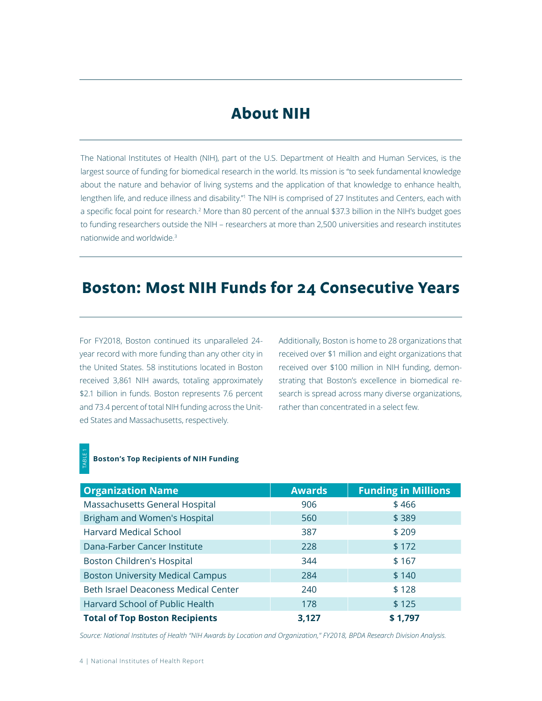### **About NIH**

The National Institutes of Health (NIH), part of the U.S. Department of Health and Human Services, is the largest source of funding for biomedical research in the world. Its mission is "to seek fundamental knowledge about the nature and behavior of living systems and the application of that knowledge to enhance health, lengthen life, and reduce illness and disability."<sup>1</sup> The NIH is comprised of 27 Institutes and Centers, each with a specific focal point for research.<sup>2</sup> More than 80 percent of the annual \$37.3 billion in the NIH's budget goes to funding researchers outside the NIH – researchers at more than 2,500 universities and research institutes nationwide and worldwide.<sup>3</sup>

### **Boston: Most NIH Funds for 24 Consecutive Years**

For FY2018, Boston continued its unparalleled 24 year record with more funding than any other city in the United States. 58 institutions located in Boston received 3,861 NIH awards, totaling approximately \$2.1 billion in funds. Boston represents 7.6 percent and 73.4 percent of total NIH funding across the United States and Massachusetts, respectively.

Additionally, Boston is home to 28 organizations that received over \$1 million and eight organizations that received over \$100 million in NIH funding, demonstrating that Boston's excellence in biomedical research is spread across many diverse organizations, rather than concentrated in a select few.

#### **Boston's Top Recipients of NIH Funding** TABLE 1

| <b>Organization Name</b>                | <b>Awards</b> | <b>Funding in Millions</b> |
|-----------------------------------------|---------------|----------------------------|
| Massachusetts General Hospital          | 906           | \$466                      |
| Brigham and Women's Hospital            | 560           | \$389                      |
| <b>Harvard Medical School</b>           | 387           | \$209                      |
| Dana-Farber Cancer Institute            | 228           | \$172                      |
| Boston Children's Hospital              | 344           | \$167                      |
| <b>Boston University Medical Campus</b> | 284           | \$140                      |
| Beth Israel Deaconess Medical Center    | 240           | \$128                      |
| Harvard School of Public Health         | 178           | \$125                      |
| <b>Total of Top Boston Recipients</b>   | 3,127         | \$1,797                    |

*Source: National Institutes of Health "NIH Awards by Location and Organization," FY2018, BPDA Research Division Analysis.*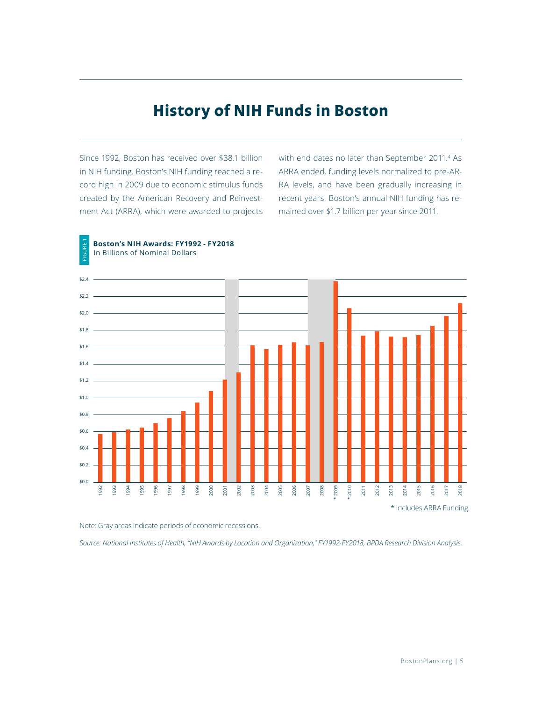# **History of NIH Funds in Boston**

Since 1992, Boston has received over \$38.1 billion in NIH funding. Boston's NIH funding reached a record high in 2009 due to economic stimulus funds created by the American Recovery and Reinvestment Act (ARRA), which were awarded to projects

 **Boston's NIH Awards: FY1992 - FY2018**

In Billions of Nominal Dollars

FIGURE 1

IGURE<sup>-</sup>

with end dates no later than September 2011.<sup>4</sup> As ARRA ended, funding levels normalized to pre-AR-RA levels, and have been gradually increasing in recent years. Boston's annual NIH funding has remained over \$1.7 billion per year since 2011.



Note: Gray areas indicate periods of economic recessions.

*Source: National Institutes of Health, "NIH Awards by Location and Organization," FY1992-FY2018, BPDA Research Division Analysis.*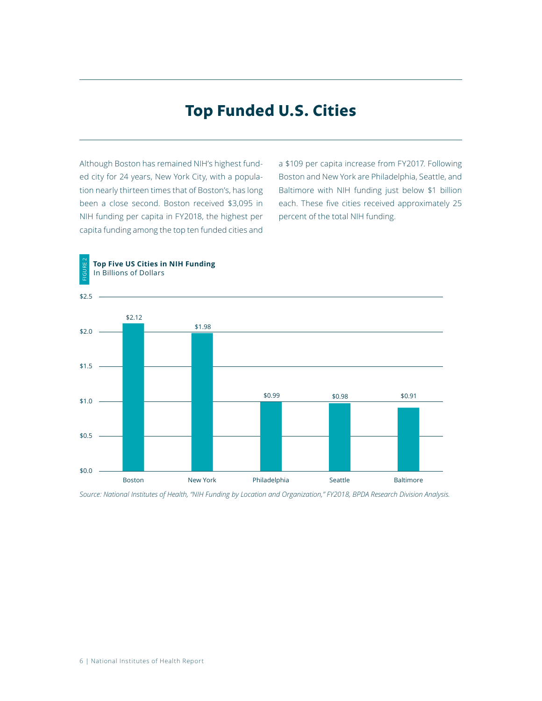# **Top Funded U.S. Cities**

Although Boston has remained NIH's highest funded city for 24 years, New York City, with a population nearly thirteen times that of Boston's, has long been a close second. Boston received \$3,095 in NIH funding per capita in FY2018, the highest per capita funding among the top ten funded cities and a \$109 per capita increase from FY2017. Following Boston and New York are Philadelphia, Seattle, and Baltimore with NIH funding just below \$1 billion each. These five cities received approximately 25 percent of the total NIH funding.



*Source: National Institutes of Health, "NIH Funding by Location and Organization," FY2018, BPDA Research Division Analysis.*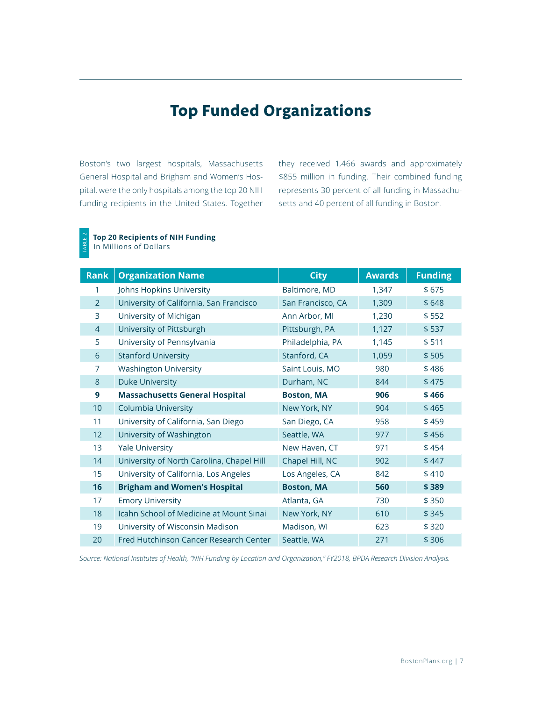# **Top Funded Organizations**

Boston's two largest hospitals, Massachusetts General Hospital and Brigham and Women's Hospital, were the only hospitals among the top 20 NIH funding recipients in the United States. Together

they received 1,466 awards and approximately \$855 million in funding. Their combined funding represents 30 percent of all funding in Massachusetts and 40 percent of all funding in Boston.

#### **Top 20 Recipients of NIH Funding** In Millions of Dollars TABLE 2

**Rank Organization Name City Awards Funding** 1 Johns Hopkins University Baltimore, MD 1,347 \$ 675 2 University of California, San Francisco San Francisco, CA 1,309 \$ 648 3 University of Michigan Ann Arbor, MI 1,230 \$552 4 University of Pittsburgh Pittsburgh, PA 1,127 \$ 537 5 University of Pennsylvania Philadelphia, PA 1,145 \$ 511 6 Stanford University Stanford, CA 1,059 \$ 505 7 Washington University **Saint Louis, MO** 980 \$486 8 Duke University **Durham, NC** 844 \$ 475 **9 Massachusetts General Hospital Boston, MA 906 \$ 466** 10 Columbia University New York, NY 904 \$465 11 University of California, San Diego San Diego, CA 958 \$ 459 12 University of Washington Seattle, WA 977 \$456 13 Yale University **New Haven, CT** 971 \$ 454 14 University of North Carolina, Chapel Hill Chapel Hill, NC 902 \$ 447 15 University of California, Los Angeles Los Angeles, CA 842 \$410 **16 Brigham and Women's Hospital Boston, MA 560 \$ 389** 17 Emory University **Atlanta, GA** 730 \$ 350 18 Icahn School of Medicine at Mount Sinai New York, NY 610 \$345 19 University of Wisconsin Madison Madison, WI 623 \$ 320 20 Fred Hutchinson Cancer Research Center Seattle, WA 271 \$ 306

*Source: National Institutes of Health, "NIH Funding by Location and Organization," FY2018, BPDA Research Division Analysis.*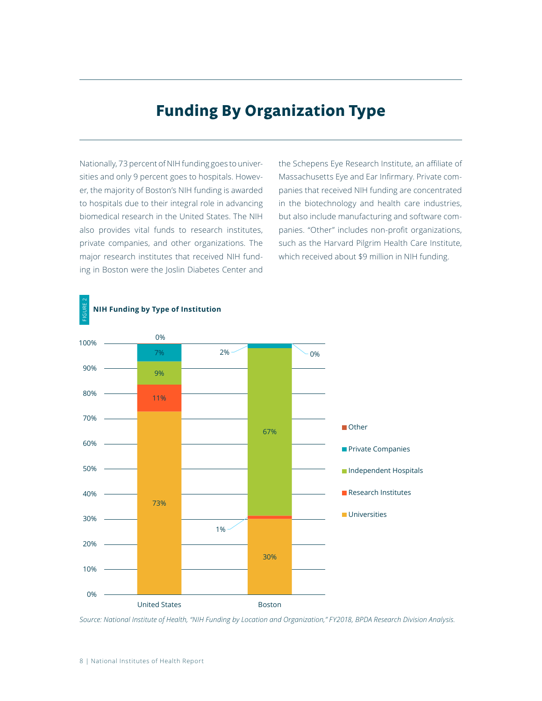# **Funding By Organization Type**

Nationally, 73 percent of NIH funding goes to universities and only 9 percent goes to hospitals. However, the majority of Boston's NIH funding is awarded to hospitals due to their integral role in advancing biomedical research in the United States. The NIH also provides vital funds to research institutes, private companies, and other organizations. The major research institutes that received NIH funding in Boston were the Joslin Diabetes Center and

the Schepens Eye Research Institute, an affiliate of Massachusetts Eye and Ear Infirmary. Private companies that received NIH funding are concentrated in the biotechnology and health care industries, but also include manufacturing and software companies. "Other" includes non-profit organizations, such as the Harvard Pilgrim Health Care Institute, which received about \$9 million in NIH funding.



*Source: National Institute of Health, "NIH Funding by Location and Organization," FY2018, BPDA Research Division Analysis.*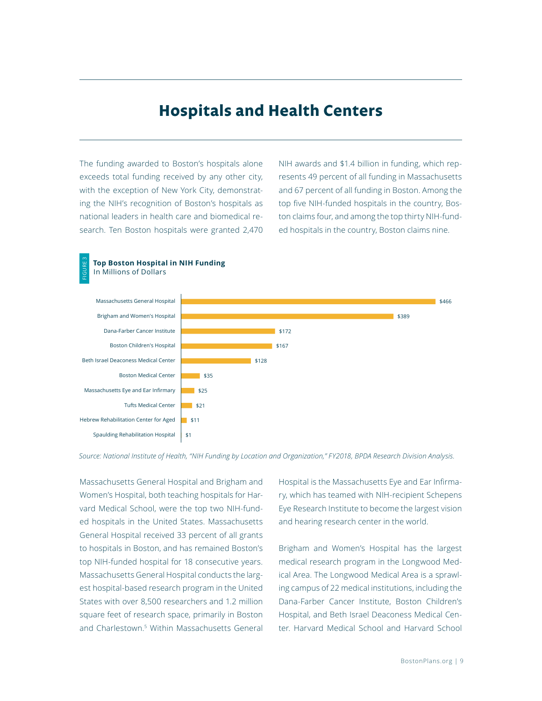# **Hospitals and Health Centers**

The funding awarded to Boston's hospitals alone exceeds total funding received by any other city, with the exception of New York City, demonstrating the NIH's recognition of Boston's hospitals as national leaders in health care and biomedical research. Ten Boston hospitals were granted 2,470

 **Top Boston Hospital in NIH Funding**

In Millions of Dollars

NIH awards and \$1.4 billion in funding, which represents 49 percent of all funding in Massachusetts and 67 percent of all funding in Boston. Among the top five NIH-funded hospitals in the country, Boston claims four, and among the top thirty NIH-funded hospitals in the country, Boston claims nine.



*Source: National Institute of Health, "NIH Funding by Location and Organization," FY2018, BPDA Research Division Analysis.*

Massachusetts General Hospital and Brigham and Women's Hospital, both teaching hospitals for Harvard Medical School, were the top two NIH-funded hospitals in the United States. Massachusetts General Hospital received 33 percent of all grants to hospitals in Boston, and has remained Boston's top NIH-funded hospital for 18 consecutive years. Massachusetts General Hospital conducts the largest hospital-based research program in the United States with over 8,500 researchers and 1.2 million square feet of research space, primarily in Boston and Charlestown.<sup>5</sup> Within Massachusetts General Hospital is the Massachusetts Eye and Ear Infirmary, which has teamed with NIH-recipient Schepens Eye Research Institute to become the largest vision and hearing research center in the world.

Brigham and Women's Hospital has the largest medical research program in the Longwood Medical Area. The Longwood Medical Area is a sprawling campus of 22 medical institutions, including the Dana-Farber Cancer Institute, Boston Children's Hospital, and Beth Israel Deaconess Medical Center. Harvard Medical School and Harvard School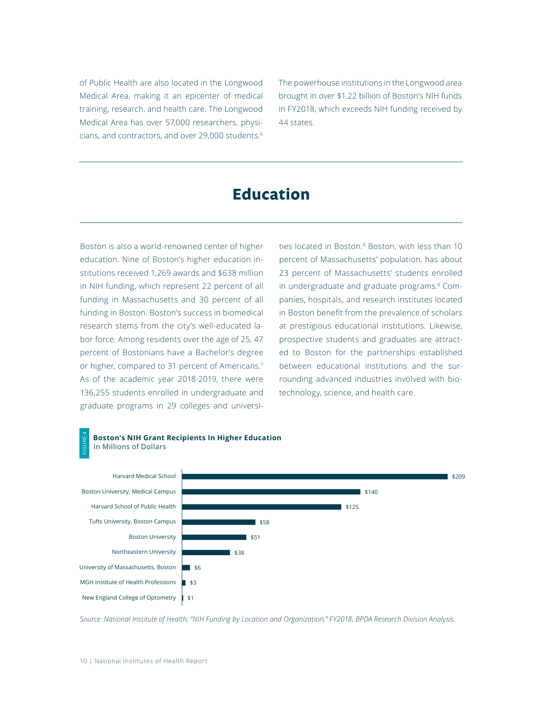of Public Health are also located in the Longwood Medical Area, making it an epicenter of medical training, research, and health care. The Longwood Medical Area has over 57,000 researchers, physicians, and contractors, and over 29,000 students.<sup>6</sup>

The powerhouse institutions in the Longwood area brought in over \$1.22 billion of Boston's NIH funds in FY2018, which exceeds NIH funding received by 44 states.

### **Education**

Boston is also a world-renowned center of higher education. Nine of Boston's higher education institutions received 1,269 awards and \$638 million in NIH funding, which represent 22 percent of all funding in Massachusetts and 30 percent of all funding in Boston. Boston's success in biomedical research stems from the city's well-educated labor force. Among residents over the age of 25, 47 percent of Bostonians have a Bachelor's degree or higher, compared to 31 percent of Americans.7 As of the academic year 2018-2019, there were 136,255 students enrolled in undergraduate and graduate programs in 29 colleges and universities located in Boston.<sup>8</sup> Boston, with less than 10 percent of Massachusetts' population, has about 23 percent of Massachusetts' students enrolled in undergraduate and graduate programs.<sup>9</sup> Companies, hospitals, and research institutes located in Boston benefit from the prevalence of scholars at prestigious educational institutions. Likewise, prospective students and graduates are attracted to Boston for the partnerships established between educational institutions and the surrounding advanced industries involved with biotechnology, science, and health care.



*Source: National Institute of Health, "NIH Funding by Location and Organization," FY2018, BPDA Research Division Analysis.*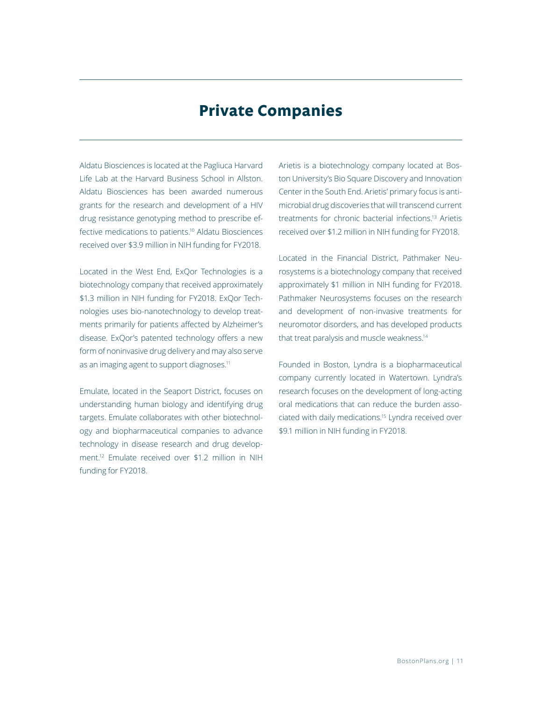### **Private Companies**

Aldatu Biosciences is located at the Pagliuca Harvard Life Lab at the Harvard Business School in Allston. Aldatu Biosciences has been awarded numerous grants for the research and development of a HIV drug resistance genotyping method to prescribe effective medications to patients.<sup>10</sup> Aldatu Biosciences received over \$3.9 million in NIH funding for FY2018.

Located in the West End, ExQor Technologies is a biotechnology company that received approximately \$1.3 million in NIH funding for FY2018. ExQor Technologies uses bio-nanotechnology to develop treatments primarily for patients affected by Alzheimer's disease. ExQor's patented technology offers a new form of noninvasive drug delivery and may also serve as an imaging agent to support diagnoses.<sup>11</sup>

Emulate, located in the Seaport District, focuses on understanding human biology and identifying drug targets. Emulate collaborates with other biotechnology and biopharmaceutical companies to advance technology in disease research and drug development.<sup>12</sup> Emulate received over \$1.2 million in NIH funding for FY2018.

Arietis is a biotechnology company located at Boston University's Bio Square Discovery and Innovation Center in the South End. Arietis' primary focus is antimicrobial drug discoveries that will transcend current treatments for chronic bacterial infections.<sup>13</sup> Arietis received over \$1.2 million in NIH funding for FY2018.

Located in the Financial District, Pathmaker Neurosystems is a biotechnology company that received approximately \$1 million in NIH funding for FY2018. Pathmaker Neurosystems focuses on the research and development of non-invasive treatments for neuromotor disorders, and has developed products that treat paralysis and muscle weakness.<sup>14</sup>

Founded in Boston, Lyndra is a biopharmaceutical company currently located in Watertown. Lyndra's research focuses on the development of long-acting oral medications that can reduce the burden associated with daily medications.15 Lyndra received over \$9.1 million in NIH funding in FY2018.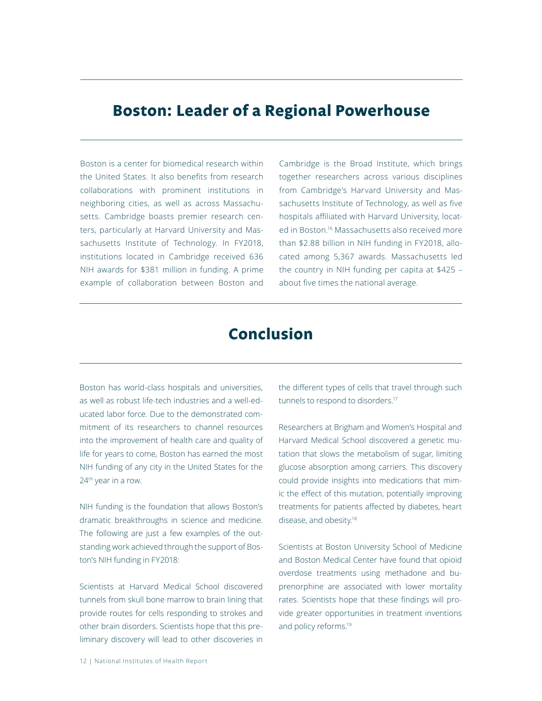### **Boston: Leader of a Regional Powerhouse**

Boston is a center for biomedical research within the United States. It also benefits from research collaborations with prominent institutions in neighboring cities, as well as across Massachusetts. Cambridge boasts premier research centers, particularly at Harvard University and Massachusetts Institute of Technology. In FY2018, institutions located in Cambridge received 636 NIH awards for \$381 million in funding. A prime example of collaboration between Boston and

Cambridge is the Broad Institute, which brings together researchers across various disciplines from Cambridge's Harvard University and Massachusetts Institute of Technology, as well as five hospitals affiliated with Harvard University, located in Boston.16 Massachusetts also received more than \$2.88 billion in NIH funding in FY2018, allocated among 5,367 awards. Massachusetts led the country in NIH funding per capita at \$425 – about five times the national average.

# **Conclusion**

Boston has world-class hospitals and universities, as well as robust life-tech industries and a well-educated labor force. Due to the demonstrated commitment of its researchers to channel resources into the improvement of health care and quality of life for years to come, Boston has earned the most NIH funding of any city in the United States for the 24<sup>th</sup> year in a row.

NIH funding is the foundation that allows Boston's dramatic breakthroughs in science and medicine. The following are just a few examples of the outstanding work achieved through the support of Boston's NIH funding in FY2018:

Scientists at Harvard Medical School discovered tunnels from skull bone marrow to brain lining that provide routes for cells responding to strokes and other brain disorders. Scientists hope that this preliminary discovery will lead to other discoveries in

the different types of cells that travel through such tunnels to respond to disorders.<sup>17</sup>

Researchers at Brigham and Women's Hospital and Harvard Medical School discovered a genetic mutation that slows the metabolism of sugar, limiting glucose absorption among carriers. This discovery could provide insights into medications that mimic the effect of this mutation, potentially improving treatments for patients affected by diabetes, heart disease, and obesity.<sup>18</sup>

Scientists at Boston University School of Medicine and Boston Medical Center have found that opioid overdose treatments using methadone and buprenorphine are associated with lower mortality rates. Scientists hope that these findings will provide greater opportunities in treatment inventions and policy reforms.19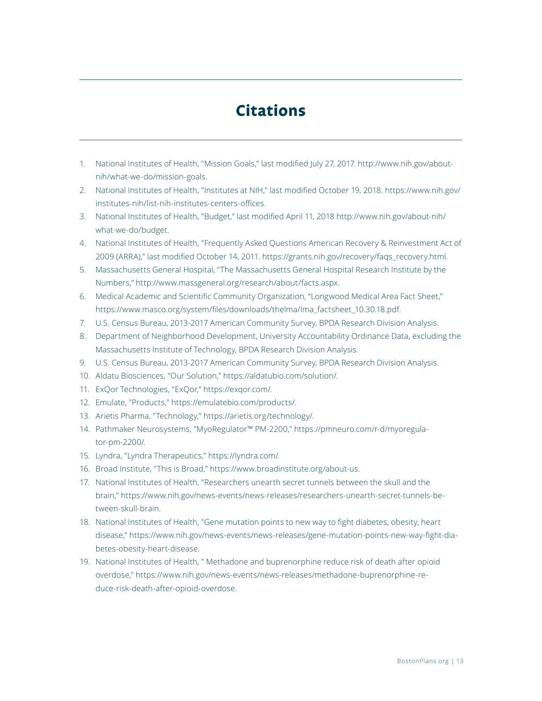# **Citations**

- 1. National Institutes of Health, "Mission Goals," last modified July 27, 2017. http://www.nih.gov/aboutnih/what-we-do/mission-goals.
- 2. National Institutes of Health, "Institutes at NIH," last modified October 19, 2018. https://www.nih.gov/ institutes-nih/list-nih-institutes-centers-offices.
- 3. National Institutes of Health, "Budget," last modified April 11, 2018 http://www.nih.gov/about-nih/ what-we-do/budget.
- 4. National Institutes of Health, "Frequently Asked Questions American Recovery & Reinvestment Act of 2009 (ARRA)," last modified October 14, 2011. https://grants.nih.gov/recovery/faqs\_recovery.html.
- 5. Massachusetts General Hospital, "The Massachusetts General Hospital Research Institute by the Numbers," http://www.massgeneral.org/research/about/facts.aspx.
- 6. Medical Academic and Scientific Community Organization, "Longwood Medical Area Fact Sheet," https://www.masco.org/system/files/downloads/thelma/lma\_factsheet\_10.30.18.pdf.
- 7. U.S. Census Bureau, 2013-2017 American Community Survey, BPDA Research Division Analysis.
- 8. Department of Neighborhood Development, University Accountability Ordinance Data, excluding the Massachusetts Institute of Technology, BPDA Research Division Analysis.
- 9. U.S. Census Bureau, 2013-2017 American Community Survey, BPDA Research Division Analysis.
- 10. Aldatu Biosciences, "Our Solution," https://aldatubio.com/solution/.
- 11. ExQor Technologies, "ExQor," https://exqor.com/.
- 12. Emulate, "Products," https://emulatebio.com/products/.
- 13. Arietis Pharma, "Technology," https://arietis.org/technology/.
- 14. Pathmaker Neurosystems, "MyoRegulator™ PM-2200," https://pmneuro.com/r-d/myoregulator-pm-2200/.
- 15. Lyndra, "Lyndra Therapeutics," https://lyndra.com/.
- 16. Broad Institute, "This is Broad," https://www.broadinstitute.org/about-us.
- 17. National Institutes of Health, "Researchers unearth secret tunnels between the skull and the brain," https://www.nih.gov/news-events/news-releases/researchers-unearth-secret-tunnels-between-skull-brain.
- 18. National Institutes of Health, "Gene mutation points to new way to fight diabetes, obesity, heart disease," https://www.nih.gov/news-events/news-releases/gene-mutation-points-new-way-fight-diabetes-obesity-heart-disease.
- 19. National Institutes of Health, " Methadone and buprenorphine reduce risk of death after opioid overdose," https://www.nih.gov/news-events/news-releases/methadone-buprenorphine-reduce-risk-death-after-opioid-overdose.